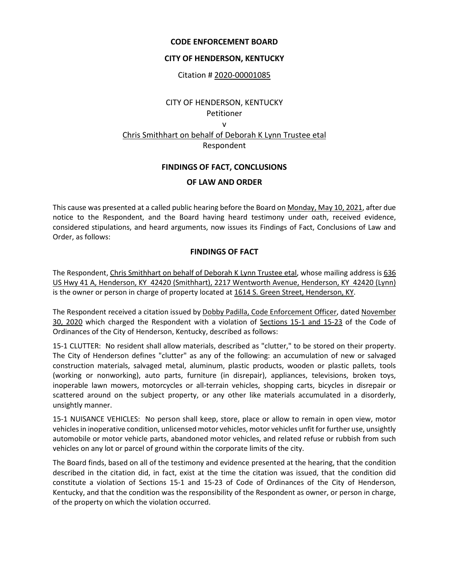## **CODE ENFORCEMENT BOARD**

## **CITY OF HENDERSON, KENTUCKY**

Citation # 2020-00001085

# CITY OF HENDERSON, KENTUCKY Petitioner v Chris Smithhart on behalf of Deborah K Lynn Trustee etal Respondent

# **FINDINGS OF FACT, CONCLUSIONS**

## **OF LAW AND ORDER**

This cause was presented at a called public hearing before the Board on Monday, May 10, 2021, after due notice to the Respondent, and the Board having heard testimony under oath, received evidence, considered stipulations, and heard arguments, now issues its Findings of Fact, Conclusions of Law and Order, as follows:

# **FINDINGS OF FACT**

The Respondent, Chris Smithhart on behalf of Deborah K Lynn Trustee etal, whose mailing address is 636 US Hwy 41 A, Henderson, KY 42420 (Smithhart), 2217 Wentworth Avenue, Henderson, KY 42420 (Lynn) is the owner or person in charge of property located at 1614 S. Green Street, Henderson, KY.

The Respondent received a citation issued by Dobby Padilla, Code Enforcement Officer, dated November 30, 2020 which charged the Respondent with a violation of Sections 15-1 and 15-23 of the Code of Ordinances of the City of Henderson, Kentucky, described as follows:

15-1 CLUTTER: No resident shall allow materials, described as "clutter," to be stored on their property. The City of Henderson defines "clutter" as any of the following: an accumulation of new or salvaged construction materials, salvaged metal, aluminum, plastic products, wooden or plastic pallets, tools (working or nonworking), auto parts, furniture (in disrepair), appliances, televisions, broken toys, inoperable lawn mowers, motorcycles or all-terrain vehicles, shopping carts, bicycles in disrepair or scattered around on the subject property, or any other like materials accumulated in a disorderly, unsightly manner.

15-1 NUISANCE VEHICLES: No person shall keep, store, place or allow to remain in open view, motor vehicles in inoperative condition, unlicensed motor vehicles, motor vehicles unfit for further use, unsightly automobile or motor vehicle parts, abandoned motor vehicles, and related refuse or rubbish from such vehicles on any lot or parcel of ground within the corporate limits of the city.

The Board finds, based on all of the testimony and evidence presented at the hearing, that the condition described in the citation did, in fact, exist at the time the citation was issued, that the condition did constitute a violation of Sections 15-1 and 15-23 of Code of Ordinances of the City of Henderson, Kentucky, and that the condition was the responsibility of the Respondent as owner, or person in charge, of the property on which the violation occurred.